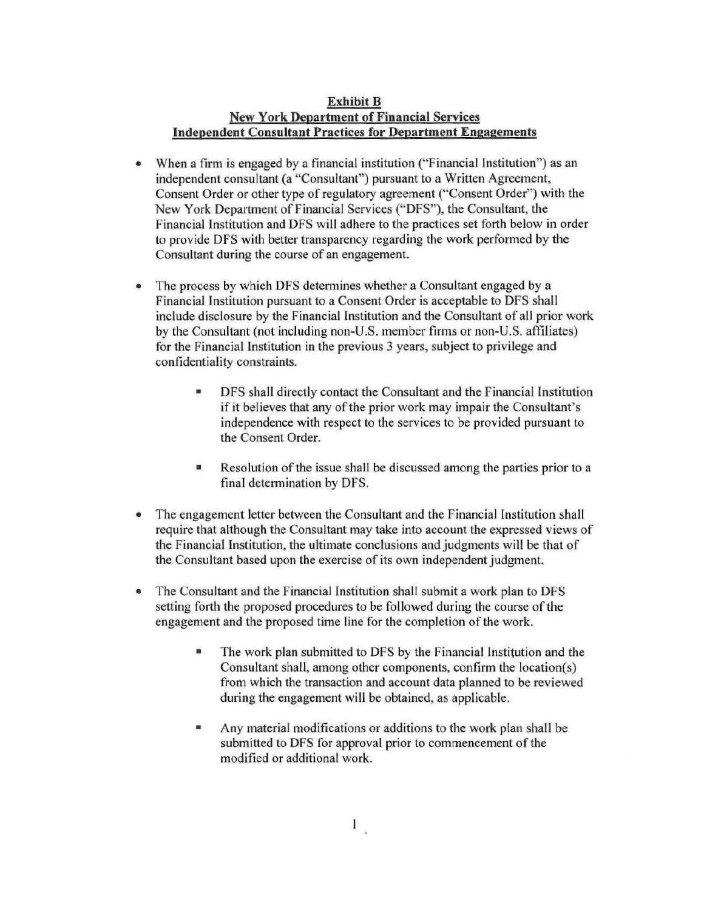## **Exhibit B New York Department of Financial Services Independent Consultant Practices for Department Engagements**

- When a firm is engaged by a financial institution ("Financial Institution") as an independent consultant (a "Consultant") pursuant to a Written Agreement, Consent Order or other type of regulatory agreement ("Consent Order") with the New York Department of Financial Services (" DFS"), the Consultant, the Financial Institution and DFS will adhere to the practices set forth below in order to provide DFS with better transparency regarding the work performed by the Consultant during the course of an engagement.
- The process by which DFS determines whether a Consultant engaged by a Financial Institution pursuant to a Consent Order is acceptable to DFS shall include disclosure by the Financial Institution and the Consultant of all prior work by the Consultant (not including non-U.S. member firms or non-U.S. affiliates) for the Financial Institution in the previous 3 years, subject to privilege and confidentiality constraints.
	- DFS shall directly contact the Consultant and the Financial Institution if it believes that any of the prior work may impair the Consultant's independence with respect to the services to be provided pursuant to the Consent Order.
	- Resolution of the issue shall be discussed among the parties prior to a final determination by DFS.
- The engagement letter between the Consultant and the Financial Institution shall require that although the Consultant may take into account the expressed views of the Financial Institution, the ultimate conclusions and judgments will be that of the Consultant based upon the exercise of its own independent judgment.
- The Consultant and the Financial Institution shall submit a work plan to DFS setting forth the proposed procedures to be followed during the course of the engagement and the proposed time line for the completion of the work.
	- The work plan submitted to DFS by the Financial Institution and the Consultant shall, among other components, confirm the location(s) from which the transaction and account data planned to be reviewed during the engagement will be obtained, as applicable.
	- Any material modifications or additions to the work plan shall be submitted to DFS for approval prior to commencement of the modified or additional work.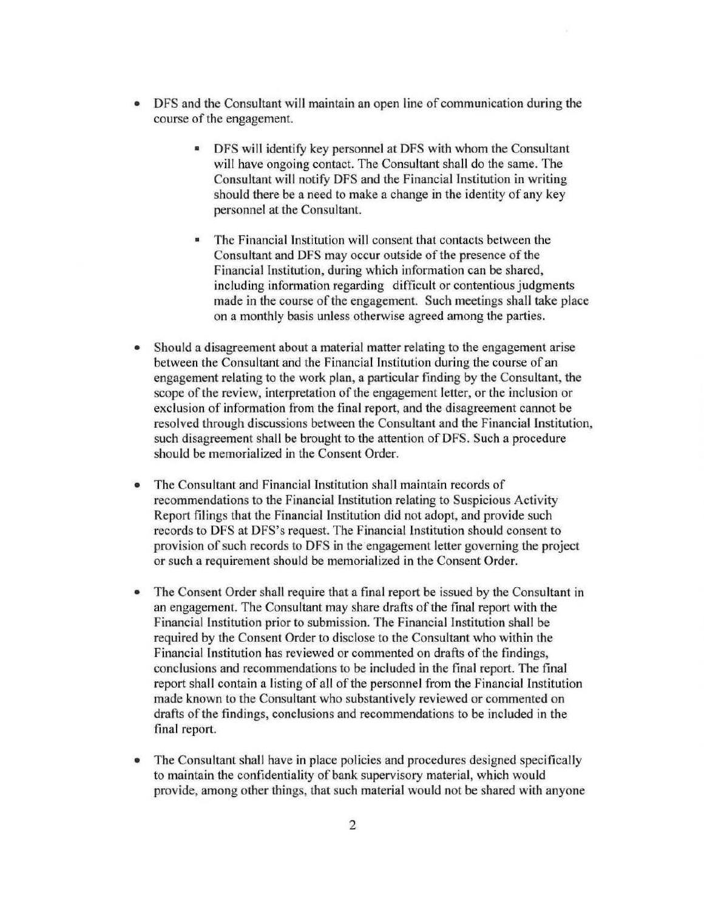- DFS and the Consultant will maintain an open line of communication during the course of the engagement.
	- DFS will identify key personnel at DFS with whom the Consultant will have ongoing contact. The Consultant shall do the same. The Consultant will notify DFS and the Financial Institution in writing should there be a need to make a change in the identity of any key personnel at the Consultant.
	- The Financial Institution will consent that contacts between the Consultant and DFS may occur outside of the presence of the Financial Institution, during which information can be shared, including information regarding difficult or contentious judgments made in the course of the engagement. Such meetings shall take place on a monthly basis unless otherwise agreed among the parties.
- Should a disagreement about a material matter relating to the engagement arise between the Consultant and the Financial Institution during the course of an engagement relating to the work plan, a particular finding by the Consultant, the scope of the review, interpretation of the engagement letter, or the inclusion or exclusion of information from the final report, and the disagreement cannot be resolved through discussions between the Consultant and the Financial Institution, such disagreement shall be brought to the attention of DFS. Such a procedure should be memorialized in the Consent Order.
- The Consultant and Financial Institution shall maintain records of recommendations to the Financial Institution relating to Suspicious Activity Report filings that the Financial Institution did not adopt, and provide such records to DFS at DFS's request. The Financial Institution should consent to provision of such records to DFS in the engagement letter governing the project or such a requirement should be memorialized in the Consent Order.
- The Consent Order shall require that a final report be issued by the Consultant in an engagement. The Consultant may share drafts of the final report with the Financial Institution prior to submission. The Financial Institution shall be required by the Consent Order to disclose to the Consultant who within the Financial Institution has reviewed or commented on drafts of the findings, conclusions and recommendations to be included in the final report. The final report shall contain a listing of all of the personnel from the Financial Institution made known to the Consultant who substantively reviewed or commented on drafts of the findings, conclusions and recommendations to be included in the final report.
- The Consultant shall have in place policies and procedures designed specifically to maintain the confidentiality of bank supervisory material, which would provide, among other things, that such material would not be shared with anyone